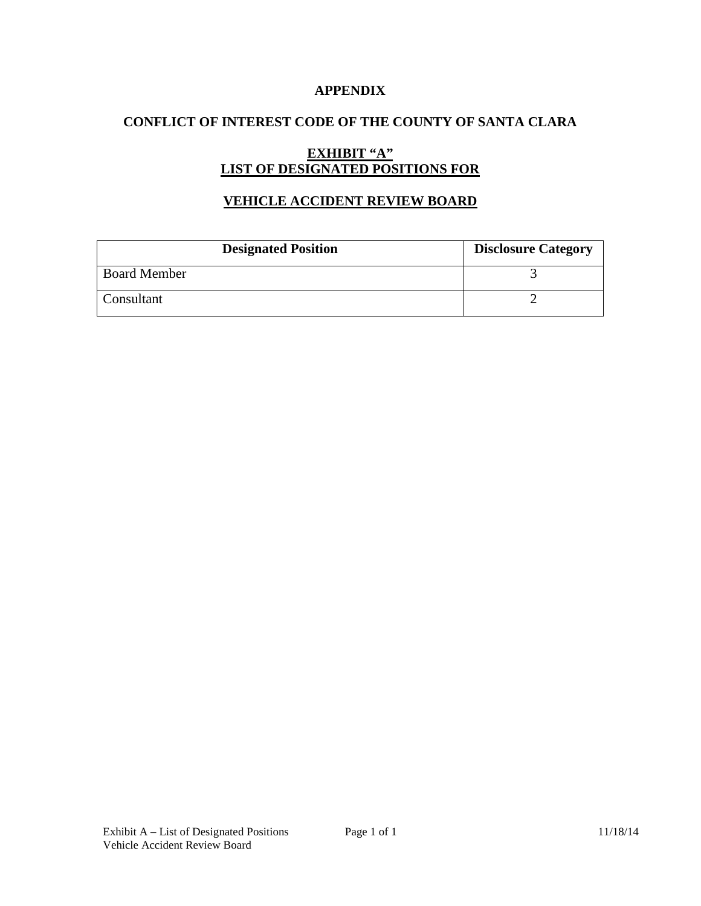### **APPENDIX**

## **CONFLICT OF INTEREST CODE OF THE COUNTY OF SANTA CLARA**

# **EXHIBIT "A" LIST OF DESIGNATED POSITIONS FOR**

## **VEHICLE ACCIDENT REVIEW BOARD**

| <b>Designated Position</b> | <b>Disclosure Category</b> |
|----------------------------|----------------------------|
| <b>Board Member</b>        |                            |
| Consultant                 |                            |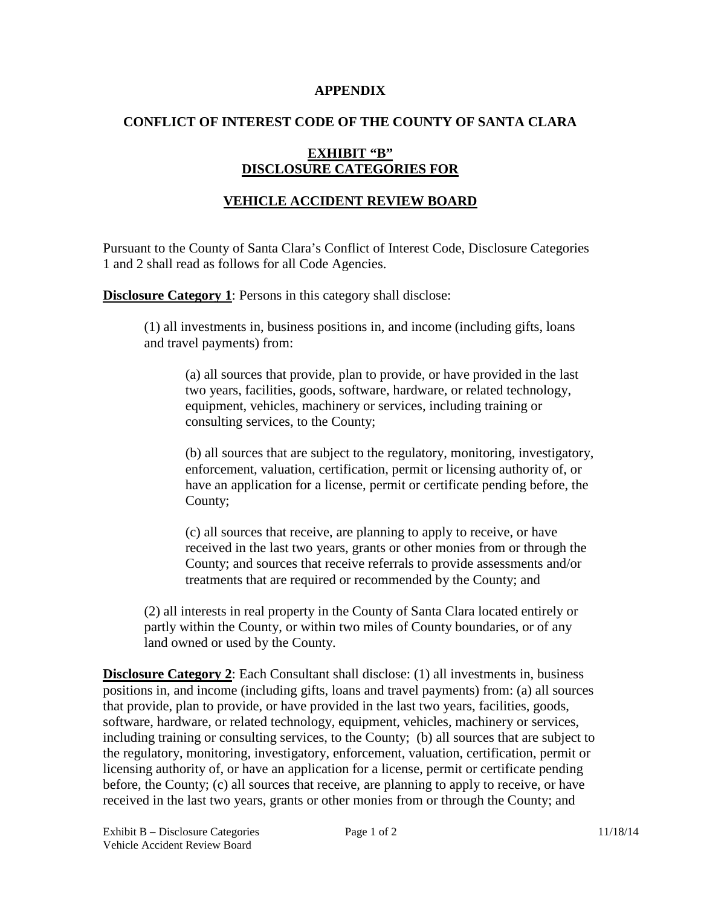#### **APPENDIX**

### **CONFLICT OF INTEREST CODE OF THE COUNTY OF SANTA CLARA**

## **EXHIBIT "B" DISCLOSURE CATEGORIES FOR**

## **VEHICLE ACCIDENT REVIEW BOARD**

Pursuant to the County of Santa Clara's Conflict of Interest Code, Disclosure Categories 1 and 2 shall read as follows for all Code Agencies.

**Disclosure Category 1:** Persons in this category shall disclose:

(1) all investments in, business positions in, and income (including gifts, loans and travel payments) from:

(a) all sources that provide, plan to provide, or have provided in the last two years, facilities, goods, software, hardware, or related technology, equipment, vehicles, machinery or services, including training or consulting services, to the County;

(b) all sources that are subject to the regulatory, monitoring, investigatory, enforcement, valuation, certification, permit or licensing authority of, or have an application for a license, permit or certificate pending before, the County;

(c) all sources that receive, are planning to apply to receive, or have received in the last two years, grants or other monies from or through the County; and sources that receive referrals to provide assessments and/or treatments that are required or recommended by the County; and

(2) all interests in real property in the County of Santa Clara located entirely or partly within the County, or within two miles of County boundaries, or of any land owned or used by the County.

**Disclosure Category 2:** Each Consultant shall disclose: (1) all investments in, business positions in, and income (including gifts, loans and travel payments) from: (a) all sources that provide, plan to provide, or have provided in the last two years, facilities, goods, software, hardware, or related technology, equipment, vehicles, machinery or services, including training or consulting services, to the County; (b) all sources that are subject to the regulatory, monitoring, investigatory, enforcement, valuation, certification, permit or licensing authority of, or have an application for a license, permit or certificate pending before, the County; (c) all sources that receive, are planning to apply to receive, or have received in the last two years, grants or other monies from or through the County; and